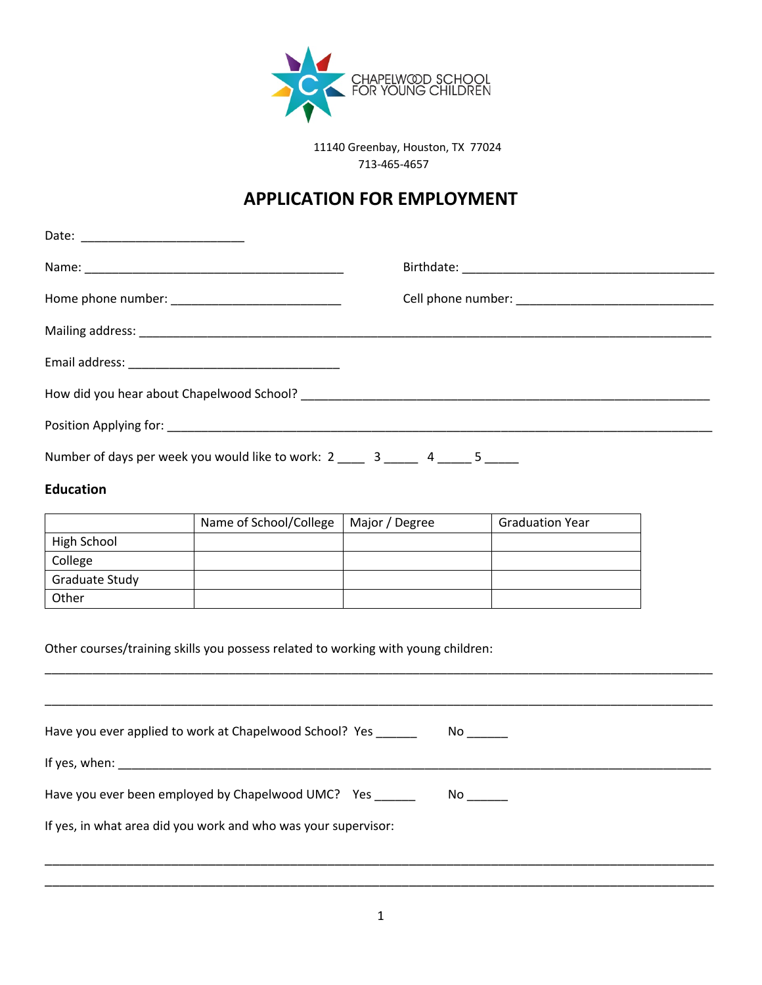

11140 Greenbay, Houston, TX 77024 713-465-4657

# **APPLICATION FOR EMPLOYMENT**

| Number of days per week you would like to work: 2 ____ 3 ____ 4 ____ 5 ____ |  |  |
|-----------------------------------------------------------------------------|--|--|

#### **Education**

|                       | Name of School/College | Major / Degree | <b>Graduation Year</b> |
|-----------------------|------------------------|----------------|------------------------|
| High School           |                        |                |                        |
| College               |                        |                |                        |
| <b>Graduate Study</b> |                        |                |                        |
| Other                 |                        |                |                        |

Other courses/training skills you possess related to working with young children:

Have you ever applied to work at Chapelwood School? Yes \_\_\_\_\_\_\_\_\_ No \_\_\_\_\_\_ If yes, when: \_\_\_\_\_\_\_\_\_\_\_\_\_\_\_\_\_\_\_\_\_\_\_\_\_\_\_\_\_\_\_\_\_\_\_\_\_\_\_\_\_\_\_\_\_\_\_\_\_\_\_\_\_\_\_\_\_\_\_\_\_\_\_\_\_\_\_\_\_\_\_\_\_\_\_\_\_\_\_\_\_\_\_\_\_\_\_ Have you ever been employed by Chapelwood UMC? Yes \_\_\_\_\_\_\_ No \_\_\_\_\_\_ If yes, in what area did you work and who was your supervisor:

\_\_\_\_\_\_\_\_\_\_\_\_\_\_\_\_\_\_\_\_\_\_\_\_\_\_\_\_\_\_\_\_\_\_\_\_\_\_\_\_\_\_\_\_\_\_\_\_\_\_\_\_\_\_\_\_\_\_\_\_\_\_\_\_\_\_\_\_\_\_\_\_\_\_\_\_\_\_\_\_\_\_\_\_\_\_\_\_\_\_\_\_\_\_\_\_\_\_

\_\_\_\_\_\_\_\_\_\_\_\_\_\_\_\_\_\_\_\_\_\_\_\_\_\_\_\_\_\_\_\_\_\_\_\_\_\_\_\_\_\_\_\_\_\_\_\_\_\_\_\_\_\_\_\_\_\_\_\_\_\_\_\_\_\_\_\_\_\_\_\_\_\_\_\_\_\_\_\_\_\_\_\_\_\_\_\_\_\_\_\_\_\_\_\_\_\_

\_\_\_\_\_\_\_\_\_\_\_\_\_\_\_\_\_\_\_\_\_\_\_\_\_\_\_\_\_\_\_\_\_\_\_\_\_\_\_\_\_\_\_\_\_\_\_\_\_\_\_\_\_\_\_\_\_\_\_\_\_\_\_\_\_\_\_\_\_\_\_\_\_\_\_\_\_\_\_\_\_\_\_\_\_\_\_\_\_\_ \_\_\_\_\_\_\_\_\_\_\_\_\_\_\_\_\_\_\_\_\_\_\_\_\_\_\_\_\_\_\_\_\_\_\_\_\_\_\_\_\_\_\_\_\_\_\_\_\_\_\_\_\_\_\_\_\_\_\_\_\_\_\_\_\_\_\_\_\_\_\_\_\_\_\_\_\_\_\_\_\_\_\_\_\_\_\_\_\_\_